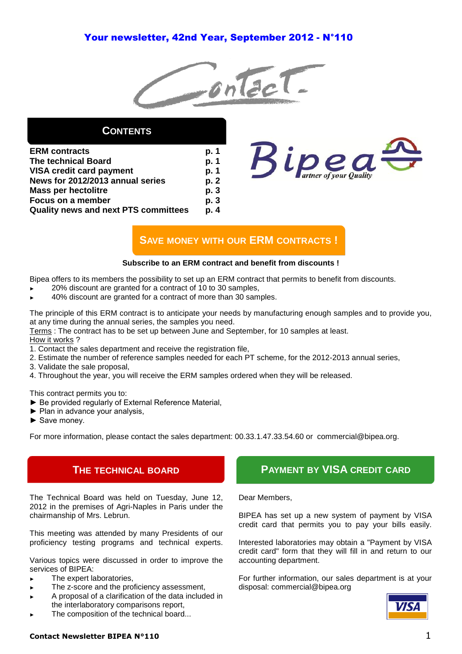# Your newsletter, 42nd Year, September 2012 - N°110



# **CONTENTS**

| <b>ERM</b> contracts                        | p. 1 |
|---------------------------------------------|------|
| <b>The technical Board</b>                  | p. 1 |
| <b>VISA credit card payment</b>             | p. 1 |
| News for 2012/2013 annual series            | p. 2 |
| <b>Mass per hectolitre</b>                  | p. 3 |
| Focus on a member                           | p. 3 |
| <b>Quality news and next PTS committees</b> | p. 4 |



# **SAVE MONEY WITH OUR ERM CONTRACTS !**

## **Subscribe to an ERM contract and benefit from discounts !**

Bipea offers to its members the possibility to set up an ERM contract that permits to benefit from discounts.

- 20% discount are granted for a contract of 10 to 30 samples.
- 40% discount are granted for a contract of more than 30 samples.

The principle of this ERM contract is to anticipate your needs by manufacturing enough samples and to provide you, at any time during the annual series, the samples you need.

Terms : The contract has to be set up between June and September, for 10 samples at least. How it works ?

- 1. Contact the sales department and receive the registration file,
- 2. Estimate the number of reference samples needed for each PT scheme, for the 2012-2013 annual series,
- 3. Validate the sale proposal,
- 4. Throughout the year, you will receive the ERM samples ordered when they will be released.

This contract permits you to:

- ► Be provided regularly of External Reference Material,
- ► Plan in advance your analysis,
- ► Save money.

For more information, please contact the sales department: 00.33.1.47.33.54.60 or commercial@bipea.org.

# **THE TECHNICAL BOARD**

The Technical Board was held on Tuesday, June 12, 2012 in the premises of Agri-Naples in Paris under the chairmanship of Mrs. Lebrun.

This meeting was attended by many Presidents of our proficiency testing programs and technical experts.

Various topics were discussed in order to improve the services of BIPEA:

- The expert laboratories.
- The z-score and the proficiency assessment,
- A proposal of a clarification of the data included in the interlaboratory comparisons report,
- The composition of the technical board...

# **PAYMENT BY VISA CREDIT CARD**

Dear Members,

BIPEA has set up a new system of payment by VISA credit card that permits you to pay your bills easily.

Interested laboratories may obtain a "Payment by VISA credit card" form that they will fill in and return to our accounting department.

For further information, our sales department is at your disposal: commercial@bipea.org



# **Contact Newsletter BIPEA N°110** 1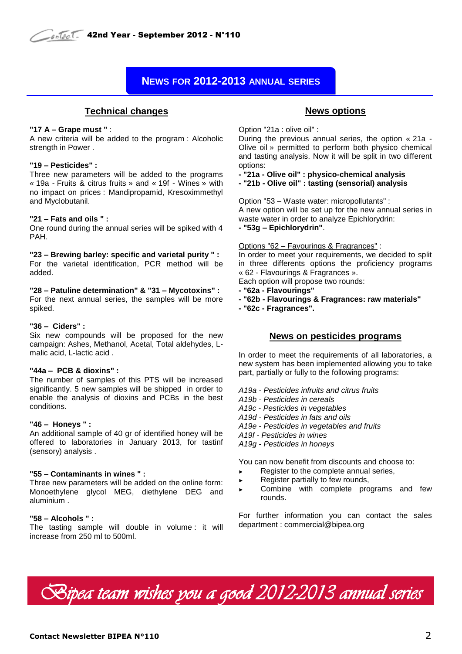# **NEWS FOR 2012-2013 ANNUAL SERIES**

## **Technical changes**

### **"17 A – Grape must "** :

A new criteria will be added to the program : Alcoholic strength in Power .

### **"19 – Pesticides" :**

Three new parameters will be added to the programs « 19a - Fruits & citrus fruits » and « 19f - Wines » with no impact on prices : Mandipropamid, Kresoximmethyl and Myclobutanil.

### **"21 – Fats and oils " :**

One round during the annual series will be spiked with 4 PAH.

**"23 – Brewing barley: specific and varietal purity " :**  For the varietal identification, PCR method will be added.

**"28 – Patuline determination" & "31 – Mycotoxins" :** 

For the next annual series, the samples will be more spiked.

### **"36 – Ciders" :**

Six new compounds will be proposed for the new campaign: Ashes, Methanol, Acetal, Total aldehydes, Lmalic acid, L-lactic acid .

## **"44a – PCB & dioxins" :**

The number of samples of this PTS will be increased significantly. 5 new samples will be shipped in order to enable the analysis of dioxins and PCBs in the best conditions.

## **"46 – Honeys " :**

An additional sample of 40 gr of identified honey will be offered to laboratories in January 2013, for tastinf (sensory) analysis .

## **"55 – Contaminants in wines " :**

Three new parameters will be added on the online form: Monoethylene glycol MEG, diethylene DEG and aluminium .

## **"58 – Alcohols " :**

The tasting sample will double in volume : it will increase from 250 ml to 500ml.

## **News options**

Option "21a : olive oil" :

During the previous annual series, the option « 21a - Olive oil » permitted to perform both physico chemical and tasting analysis. Now it will be split in two different options:

**- "21a - Olive oil" : physico-chemical analysis**

**- "21b - Olive oil" : tasting (sensorial) analysis**

Option "53 – Waste water: micropollutants" : A new option will be set up for the new annual series in waste water in order to analyze Epichlorydrin: **- "53g – Epichlorydrin"**.

Options "62 – Favourings & Fragrances" :

In order to meet your requirements, we decided to split in three differents options the proficiency programs « 62 - Flavourings & Fragrances ».

Each option will propose two rounds:

- **- "62a - Flavourings"**
- **- "62b - Flavourings & Fragrances: raw materials"**
- **- "62c - Fragrances".**

## **News on pesticides programs**

In order to meet the requirements of all laboratories, a new system has been implemented allowing you to take part, partially or fully to the following programs:

*A19a - Pesticides infruits and citrus fruits*

*A19b - Pesticides in cereals*

*A19c - Pesticides in vegetables*

*A19d - Pesticides in fats and oils*

*A19e - Pesticides in vegetables and fruits*

*A19f - Pesticides in wines*

*A19g - Pesticides in honeys*

You can now benefit from discounts and choose to:

- ► Register to the complete annual series,
- Register partially to few rounds,
- Combine with complete programs and few rounds.

For further information you can contact the sales department : commercial@bipea.org

*Bipea team wishes you a good 2012-2013 annual series*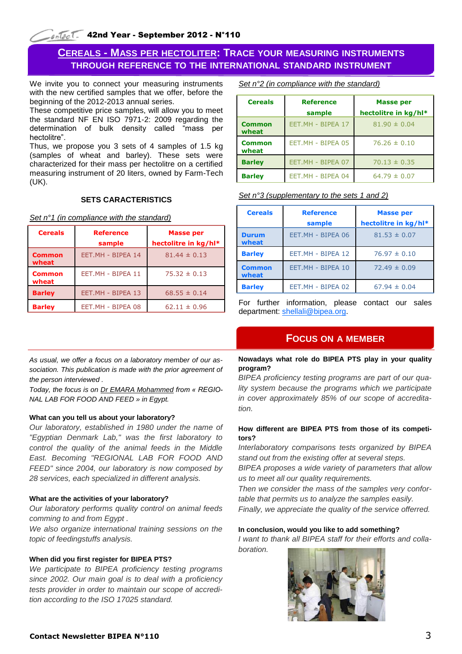# **CEREALS - MASS PER HECTOLITER: TRACE YOUR MEASURING INSTRUMENTS THROUGH REFERENCE TO THE INTERNATIONAL STANDARD INSTRUMENT**

We invite you to connect your measuring instruments with the new certified samples that we offer, before the beginning of the 2012-2013 annual series.

These competitive price samples, will allow you to meet the standard NF EN ISO 7971-2: 2009 regarding the determination of bulk density called "mass per hectolitre".

Thus, we propose you 3 sets of 4 samples of 1.5 kg (samples of wheat and barley). These sets were characterized for their mass per hectolitre on a certified measuring instrument of 20 liters, owned by Farm-Tech (UK).

## **SETS CARACTERISTICS**

*Set n°1 (in compliance with the standard)*

| <b>Cereals</b>         | <b>Reference</b><br>sample | <b>Masse per</b><br>hectolitre in kg/hl* |  |
|------------------------|----------------------------|------------------------------------------|--|
| <b>Common</b><br>wheat | EET.MH - BIPEA 14          | $81.44 \pm 0.13$                         |  |
| <b>Common</b><br>wheat | EET.MH - BIPEA 11          | $75.32 \pm 0.13$                         |  |
| <b>Barley</b>          | EET.MH - BIPEA 13          | $68.55 \pm 0.14$                         |  |
| <b>Barley</b>          | EET.MH - BIPEA 08          | $62.11 \pm 0.96$                         |  |

*As usual, we offer a focus on a laboratory member of our association. This publication is made with the prior agreement of the person interviewed .* 

*Today, the focus is on Dr EMARA Mohammed from « REGIO-NAL LAB FOR FOOD AND FEED » in Egypt.*

## **What can you tell us about your laboratory?**

*Our laboratory, established in 1980 under the name of "Egyptian Denmark Lab," was the first laboratory to control the quality of the animal feeds in the Middle East. Becoming "REGIONAL LAB FOR FOOD AND FEED" since 2004, our laboratory is now composed by 28 services, each specialized in different analysis.* 

## **What are the activities of your laboratory?**

*Our laboratory performs quality control on animal feeds comming to and from Egypt .*

*We also organize international training sessions on the topic of feedingstuffs analysis.* 

## **When did you first register for BIPEA PTS?**

*We participate to BIPEA proficiency testing programs since 2002. Our main goal is to deal with a proficiency tests provider in order to maintain our scope of accredition according to the ISO 17025 standard.*

*Set n°2 (in compliance with the standard)*

| <b>Cereals</b>         | <b>Reference</b><br>sample | <b>Masse per</b><br>hectolitre in kg/hl* |  |
|------------------------|----------------------------|------------------------------------------|--|
| <b>Common</b><br>wheat | EET.MH - BIPEA 17          | $81.90 \pm 0.04$                         |  |
| <b>Common</b><br>wheat | EET.MH - BIPEA 05          | $76.26 \pm 0.10$                         |  |
| <b>Barley</b>          | EET.MH - BIPEA 07          | $70.13 \pm 0.35$                         |  |
| <b>Barley</b>          | EET.MH - BIPEA 04          | $64.79 \pm 0.07$                         |  |

## *Set n°3 (supplementary to the sets 1 and 2)*

| <b>Cereals</b>         | <b>Reference</b>  | <b>Masse per</b>     |  |
|------------------------|-------------------|----------------------|--|
|                        | sample            | hectolitre in kg/hl* |  |
| <b>Durum</b><br>wheat  | EET.MH - BIPEA 06 | $81.53 \pm 0.07$     |  |
| <b>Barley</b>          | EET.MH - BIPEA 12 | $76.97 \pm 0.10$     |  |
| <b>Common</b><br>wheat | EET.MH - BIPEA 10 | $72.49 \pm 0.09$     |  |
| <b>Barley</b>          | EET.MH - BIPEA 02 | $67.94 \pm 0.04$     |  |

For further information, please contact our sales department: [shellali@bipea.org.](mailto:shellali@bipea.org)

## **FOCUS ON A MEMBER**

## **Nowadays what role do BIPEA PTS play in your quality program?**

*BIPEA proficiency testing programs are part of our quality system because the programs which we participate in cover approximately 85% of our scope of accreditation.* 

## **How different are BIPEA PTS from those of its competitors?**

*Interlaboratory comparisons tests organized by BIPEA stand out from the existing offer at several steps.* 

*BIPEA proposes a wide variety of parameters that allow us to meet all our quality requirements.* 

*Then we consider the mass of the samples very confortable that permits us to analyze the samples easily. Finally, we appreciate the quality of the service offerred.* 

#### **In conclusion, would you like to add something?**

*I want to thank all BIPEA staff for their efforts and collaboration.*